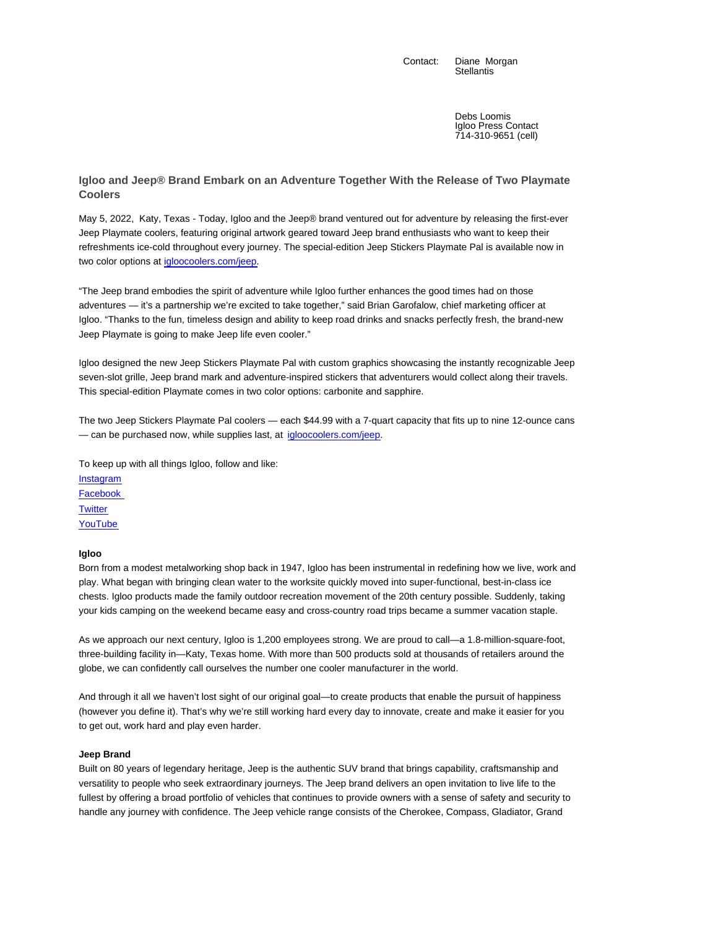Contact: Diane Morgan **Stellantis** 

> Debs Loomis Igloo Press Contact 714-310-9651 (cell)

**Igloo and Jeep® Brand Embark on an Adventure Together With the Release of Two Playmate Coolers**

May 5, 2022, Katy, Texas - Today, Igloo and the Jeep® brand ventured out for adventure by releasing the first-ever Jeep Playmate coolers, featuring original artwork geared toward Jeep brand enthusiasts who want to keep their refreshments ice-cold throughout every journey. The special-edition Jeep Stickers Playmate Pal is available now in two color options at igloocoolers.com/jeep.

"The Jeep brand embodies the spirit of adventure while Igloo further enhances the good times had on those adventures — it's a partnership we're excited to take together," said Brian Garofalow, chief marketing officer at Igloo. "Thanks to the fun, timeless design and ability to keep road drinks and snacks perfectly fresh, the brand-new Jeep Playmate is going to make Jeep life even cooler."

Igloo designed the new Jeep Stickers Playmate Pal with custom graphics showcasing the instantly recognizable Jeep seven-slot grille, Jeep brand mark and adventure-inspired stickers that adventurers would collect along their travels. This special-edition Playmate comes in two color options: carbonite and sapphire.

The two Jeep Stickers Playmate Pal coolers — each \$44.99 with a 7-quart capacity that fits up to nine 12-ounce cans — can be purchased now, while supplies last, at igloocoolers.com/jeep.

To keep up with all things Igloo, follow and like:

**Instagram** Facebook **Twitter** YouTube

## **Igloo**

Born from a modest metalworking shop back in 1947, Igloo has been instrumental in redefining how we live, work and play. What began with bringing clean water to the worksite quickly moved into super-functional, best-in-class ice chests. Igloo products made the family outdoor recreation movement of the 20th century possible. Suddenly, taking your kids camping on the weekend became easy and cross-country road trips became a summer vacation staple.

As we approach our next century, Igloo is 1,200 employees strong. We are proud to call—a 1.8-million-square-foot, three-building facility in—Katy, Texas home. With more than 500 products sold at thousands of retailers around the globe, we can confidently call ourselves the number one cooler manufacturer in the world.

And through it all we haven't lost sight of our original goal—to create products that enable the pursuit of happiness (however you define it). That's why we're still working hard every day to innovate, create and make it easier for you to get out, work hard and play even harder.

## **Jeep Brand**

Built on 80 years of legendary heritage, Jeep is the authentic SUV brand that brings capability, craftsmanship and versatility to people who seek extraordinary journeys. The Jeep brand delivers an open invitation to live life to the fullest by offering a broad portfolio of vehicles that continues to provide owners with a sense of safety and security to handle any journey with confidence. The Jeep vehicle range consists of the Cherokee, Compass, Gladiator, Grand